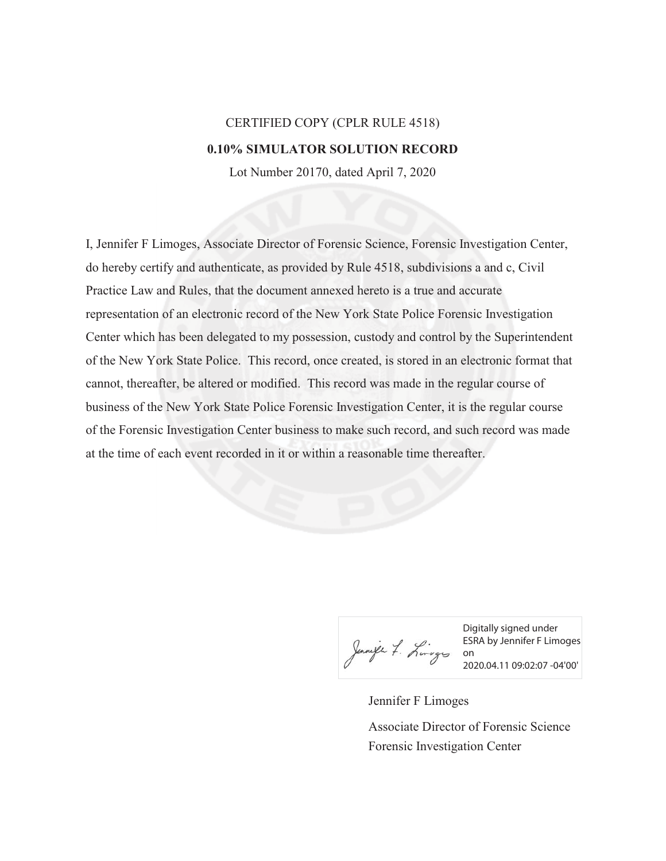## CERTIFIED COPY (CPLR RULE 4518) **0.10% SIMULATOR SOLUTION RECORD**

Lot Number 20170, dated April 7, 2020

I, Jennifer F Limoges, Associate Director of Forensic Science, Forensic Investigation Center, do hereby certify and authenticate, as provided by Rule 4518, subdivisions a and c, Civil Practice Law and Rules, that the document annexed hereto is a true and accurate representation of an electronic record of the New York State Police Forensic Investigation Center which has been delegated to my possession, custody and control by the Superintendent of the New York State Police. This record, once created, is stored in an electronic format that cannot, thereafter, be altered or modified. This record was made in the regular course of business of the New York State Police Forensic Investigation Center, it is the regular course of the Forensic Investigation Center business to make such record, and such record was made at the time of each event recorded in it or within a reasonable time thereafter.

Jannife 7. Lingers on

Digitally signed under ESRA by Jennifer F Limoges 2020.04.11 09:02:07 -04'00'

Jennifer F Limoges Forensic Investigation Center Associate Director of Forensic Science